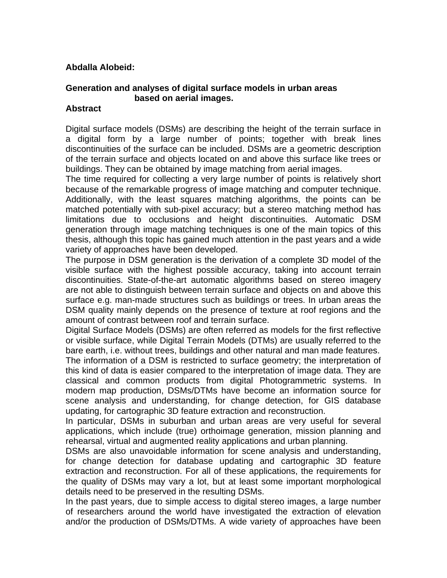## **Abdalla Alobeid:**

## **Generation and analyses of digital surface models in urban areas based on aerial images.**

## **Abstract**

Digital surface models (DSMs) are describing the height of the terrain surface in a digital form by a large number of points; together with break lines discontinuities of the surface can be included. DSMs are a geometric description of the terrain surface and objects located on and above this surface like trees or buildings. They can be obtained by image matching from aerial images.

The time required for collecting a very large number of points is relatively short because of the remarkable progress of image matching and computer technique. Additionally, with the least squares matching algorithms, the points can be matched potentially with sub-pixel accuracy; but a stereo matching method has limitations due to occlusions and height discontinuities. Automatic DSM generation through image matching techniques is one of the main topics of this thesis, although this topic has gained much attention in the past years and a wide variety of approaches have been developed.

The purpose in DSM generation is the derivation of a complete 3D model of the visible surface with the highest possible accuracy, taking into account terrain discontinuities. State-of-the-art automatic algorithms based on stereo imagery are not able to distinguish between terrain surface and objects on and above this surface e.g. man-made structures such as buildings or trees. In urban areas the DSM quality mainly depends on the presence of texture at roof regions and the amount of contrast between roof and terrain surface.

Digital Surface Models (DSMs) are often referred as models for the first reflective or visible surface, while Digital Terrain Models (DTMs) are usually referred to the bare earth, i.e. without trees, buildings and other natural and man made features.

The information of a DSM is restricted to surface geometry; the interpretation of this kind of data is easier compared to the interpretation of image data. They are classical and common products from digital Photogrammetric systems. In modern map production, DSMs/DTMs have become an information source for scene analysis and understanding, for change detection, for GIS database updating, for cartographic 3D feature extraction and reconstruction.

In particular, DSMs in suburban and urban areas are very useful for several applications, which include (true) orthoimage generation, mission planning and rehearsal, virtual and augmented reality applications and urban planning.

DSMs are also unavoidable information for scene analysis and understanding, for change detection for database updating and cartographic 3D feature extraction and reconstruction. For all of these applications, the requirements for the quality of DSMs may vary a lot, but at least some important morphological details need to be preserved in the resulting DSMs.

In the past years, due to simple access to digital stereo images, a large number of researchers around the world have investigated the extraction of elevation and/or the production of DSMs/DTMs. A wide variety of approaches have been